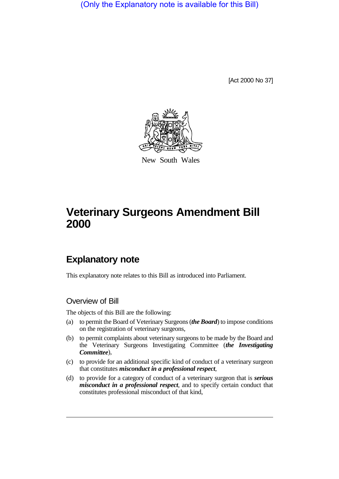(Only the Explanatory note is available for this Bill)

[Act 2000 No 37]



New South Wales

# **Veterinary Surgeons Amendment Bill 2000**

## **Explanatory note**

This explanatory note relates to this Bill as introduced into Parliament.

## Overview of Bill

The objects of this Bill are the following:

- (a) to permit the Board of Veterinary Surgeons (*the Board*) to impose conditions on the registration of veterinary surgeons,
- (b) to permit complaints about veterinary surgeons to be made by the Board and the Veterinary Surgeons Investigating Committee (*the Investigating Committee*),
- (c) to provide for an additional specific kind of conduct of a veterinary surgeon that constitutes *misconduct in a professional respect*,
- (d) to provide for a category of conduct of a veterinary surgeon that is *serious misconduct in a professional respect*, and to specify certain conduct that constitutes professional misconduct of that kind,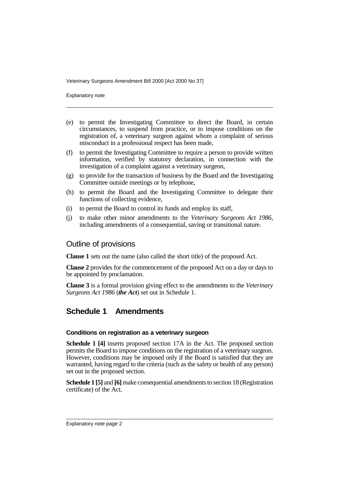Explanatory note

- (e) to permit the Investigating Committee to direct the Board, in certain circumstances, to suspend from practice, or to impose conditions on the registration of, a veterinary surgeon against whom a complaint of serious misconduct in a professional respect has been made,
- (f) to permit the Investigating Committee to require a person to provide written information, verified by statutory declaration, in connection with the investigation of a complaint against a veterinary surgeon,
- (g) to provide for the transaction of business by the Board and the Investigating Committee outside meetings or by telephone,
- (h) to permit the Board and the Investigating Committee to delegate their functions of collecting evidence,
- (i) to permit the Board to control its funds and employ its staff,
- (j) to make other minor amendments to the *Veterinary Surgeons Act 1986*, including amendments of a consequential, saving or transitional nature.

## Outline of provisions

**Clause 1** sets out the name (also called the short title) of the proposed Act.

**Clause 2** provides for the commencement of the proposed Act on a day or days to be appointed by proclamation.

**Clause 3** is a formal provision giving effect to the amendments to the *Veterinary Surgeons Act 1986* (*the Act*) set out in Schedule 1.

## **Schedule 1 Amendments**

#### **Conditions on registration as a veterinary surgeon**

**Schedule 1 [4]** inserts proposed section 17A in the Act. The proposed section permits the Board to impose conditions on the registration of a veterinary surgeon. However, conditions may be imposed only if the Board is satisfied that they are warranted, having regard to the criteria (such as the safety or health of any person) set out in the proposed section.

**Schedule 1 [5]** and **[6]** make consequential amendments to section 18 (Registration certificate) of the Act.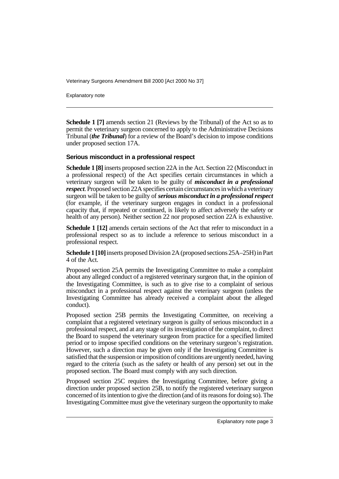Explanatory note

**Schedule 1 [7]** amends section 21 (Reviews by the Tribunal) of the Act so as to permit the veterinary surgeon concerned to apply to the Administrative Decisions Tribunal (*the Tribunal*) for a review of the Board's decision to impose conditions under proposed section 17A.

#### **Serious misconduct in a professional respect**

**Schedule 1 [8]** inserts proposed section 22A in the Act. Section 22 (Misconduct in a professional respect) of the Act specifies certain circumstances in which a veterinary surgeon will be taken to be guilty of *misconduct in a professional respect*. Proposed section 22A specifies certain circumstances in which a veterinary surgeon will be taken to be guilty of *serious misconduct in a professional respect* (for example, if the veterinary surgeon engages in conduct in a professional capacity that, if repeated or continued, is likely to affect adversely the safety or health of any person). Neither section 22 nor proposed section 22A is exhaustive.

**Schedule 1 [12]** amends certain sections of the Act that refer to misconduct in a professional respect so as to include a reference to serious misconduct in a professional respect.

**Schedule 1 [10]** inserts proposed Division 2A (proposed sections 25A–25H) in Part 4 of the Act.

Proposed section 25A permits the Investigating Committee to make a complaint about any alleged conduct of a registered veterinary surgeon that, in the opinion of the Investigating Committee, is such as to give rise to a complaint of serious misconduct in a professional respect against the veterinary surgeon (unless the Investigating Committee has already received a complaint about the alleged conduct).

Proposed section 25B permits the Investigating Committee, on receiving a complaint that a registered veterinary surgeon is guilty of serious misconduct in a professional respect, and at any stage of its investigation of the complaint, to direct the Board to suspend the veterinary surgeon from practice for a specified limited period or to impose specified conditions on the veterinary surgeon's registration. However, such a direction may be given only if the Investigating Committee is satisfied that the suspension or imposition of conditions are urgently needed, having regard to the criteria (such as the safety or health of any person) set out in the proposed section. The Board must comply with any such direction.

Proposed section 25C requires the Investigating Committee, before giving a direction under proposed section 25B, to notify the registered veterinary surgeon concerned of its intention to give the direction (and of its reasons for doing so). The Investigating Committee must give the veterinary surgeon the opportunity to make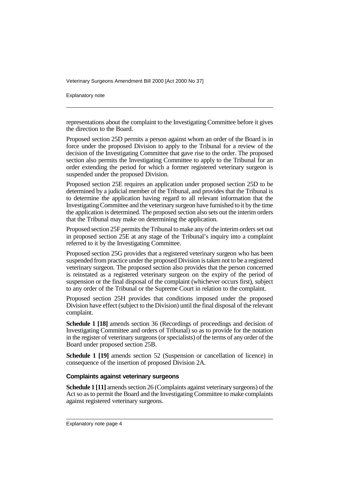Explanatory note

representations about the complaint to the Investigating Committee before it gives the direction to the Board.

Proposed section 25D permits a person against whom an order of the Board is in force under the proposed Division to apply to the Tribunal for a review of the decision of the Investigating Committee that gave rise to the order. The proposed section also permits the Investigating Committee to apply to the Tribunal for an order extending the period for which a former registered veterinary surgeon is suspended under the proposed Division.

Proposed section 25E requires an application under proposed section 25D to be determined by a judicial member of the Tribunal, and provides that the Tribunal is to determine the application having regard to all relevant information that the Investigating Committee and the veterinary surgeon have furnished to it by the time the application is determined. The proposed section also sets out the interim orders that the Tribunal may make on determining the application.

Proposed section 25F permits the Tribunal to make any of the interim orders set out in proposed section 25E at any stage of the Tribunal's inquiry into a complaint referred to it by the Investigating Committee.

Proposed section 25G provides that a registered veterinary surgeon who has been suspended from practice under the proposed Division is taken not to be a registered veterinary surgeon. The proposed section also provides that the person concerned is reinstated as a registered veterinary surgeon on the expiry of the period of suspension or the final disposal of the complaint (whichever occurs first), subject to any order of the Tribunal or the Supreme Court in relation to the complaint.

Proposed section 25H provides that conditions imposed under the proposed Division have effect (subject to the Division) until the final disposal of the relevant complaint.

**Schedule 1 [18]** amends section 36 (Recordings of proceedings and decision of Investigating Committee and orders of Tribunal) so as to provide for the notation in the register of veterinary surgeons (or specialists) of the terms of any order of the Board under proposed section 25B.

**Schedule 1 [19]** amends section 52 (Suspension or cancellation of licence) in consequence of the insertion of proposed Division 2A.

#### **Complaints against veterinary surgeons**

**Schedule 1 [11]** amends section 26 (Complaints against veterinary surgeons) of the Act so as to permit the Board and the Investigating Committee to make complaints against registered veterinary surgeons.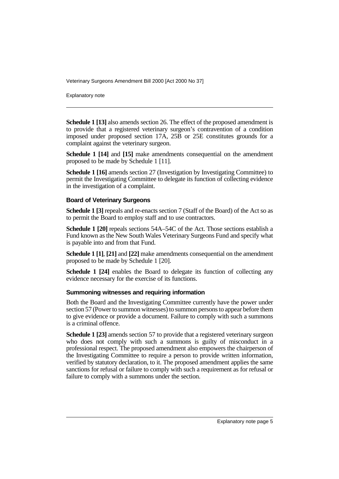Explanatory note

**Schedule 1 [13]** also amends section 26. The effect of the proposed amendment is to provide that a registered veterinary surgeon's contravention of a condition imposed under proposed section 17A, 25B or 25E constitutes grounds for a complaint against the veterinary surgeon.

**Schedule 1 [14]** and **[15]** make amendments consequential on the amendment proposed to be made by Schedule 1 [11].

**Schedule 1 [16]** amends section 27 (Investigation by Investigating Committee) to permit the Investigating Committee to delegate its function of collecting evidence in the investigation of a complaint.

#### **Board of Veterinary Surgeons**

**Schedule 1 [3]** repeals and re-enacts section 7 (Staff of the Board) of the Act so as to permit the Board to employ staff and to use contractors.

**Schedule 1 [20]** repeals sections 54A–54C of the Act. Those sections establish a Fund known as the New South Wales Veterinary Surgeons Fund and specify what is payable into and from that Fund.

**Schedule 1 [1]**, **[21]** and **[22]** make amendments consequential on the amendment proposed to be made by Schedule 1 [20].

**Schedule 1 [24]** enables the Board to delegate its function of collecting any evidence necessary for the exercise of its functions.

#### **Summoning witnesses and requiring information**

Both the Board and the Investigating Committee currently have the power under section 57 (Power to summon witnesses) to summon persons to appear before them to give evidence or provide a document. Failure to comply with such a summons is a criminal offence.

**Schedule 1 [23]** amends section 57 to provide that a registered veterinary surgeon who does not comply with such a summons is guilty of misconduct in a professional respect. The proposed amendment also empowers the chairperson of the Investigating Committee to require a person to provide written information, verified by statutory declaration, to it. The proposed amendment applies the same sanctions for refusal or failure to comply with such a requirement as for refusal or failure to comply with a summons under the section.